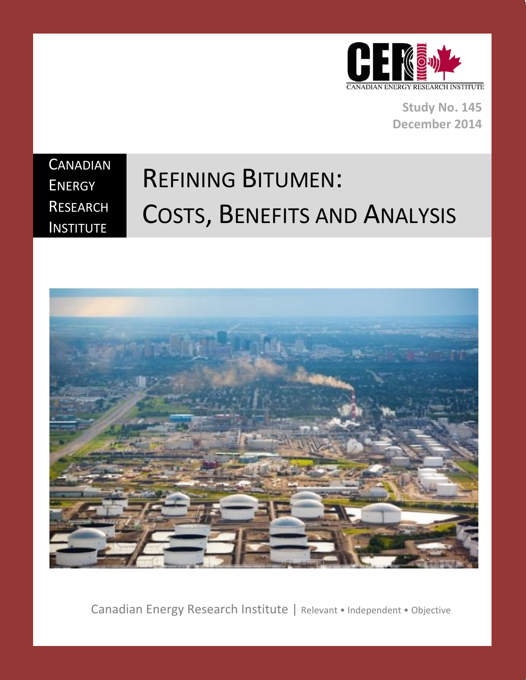

**Study No. 145 December 2014**

## **CANADIAN ENERGY RESEARCH INSTITUTE** REFINING BITUMEN: COSTS, BENEFITS AND ANALYSIS



Canadian Energy Research Institute | Relevant • Independent • Objective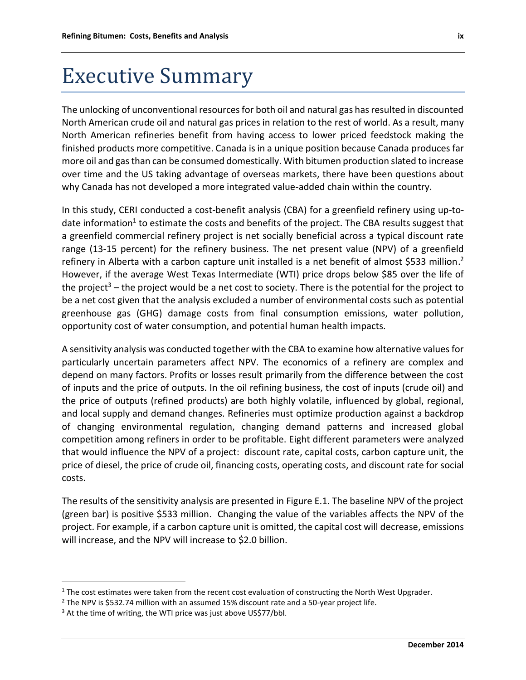The unlocking of unconventional resources for both oil and natural gas has resulted in discounted North American crude oil and natural gas prices in relation to the rest of world. As a result, many North American refineries benefit from having access to lower priced feedstock making the finished products more competitive. Canada is in a unique position because Canada produces far more oil and gas than can be consumed domestically. With bitumen production slated to increase over time and the US taking advantage of overseas markets, there have been questions about why Canada has not developed a more integrated value-added chain within the country.

In this study, CERI conducted a cost-benefit analysis (CBA) for a greenfield refinery using up-todate information<sup>1</sup> to estimate the costs and benefits of the project. The CBA results suggest that a greenfield commercial refinery project is net socially beneficial across a typical discount rate range (13-15 percent) for the refinery business. The net present value (NPV) of a greenfield refinery in Alberta with a carbon capture unit installed is a net benefit of almost \$533 million.<sup>2</sup> However, if the average West Texas Intermediate (WTI) price drops below \$85 over the life of the project<sup>3</sup> – the project would be a net cost to society. There is the potential for the project to be a net cost given that the analysis excluded a number of environmental costs such as potential greenhouse gas (GHG) damage costs from final consumption emissions, water pollution, opportunity cost of water consumption, and potential human health impacts.

A sensitivity analysis was conducted together with the CBA to examine how alternative values for particularly uncertain parameters affect NPV. The economics of a refinery are complex and depend on many factors. Profits or losses result primarily from the difference between the cost of inputs and the price of outputs. In the oil refining business, the cost of inputs (crude oil) and the price of outputs (refined products) are both highly volatile, influenced by global, regional, and local supply and demand changes. Refineries must optimize production against a backdrop of changing environmental regulation, changing demand patterns and increased global competition among refiners in order to be profitable. Eight different parameters were analyzed that would influence the NPV of a project: discount rate, capital costs, carbon capture unit, the price of diesel, the price of crude oil, financing costs, operating costs, and discount rate for social costs.

The results of the sensitivity analysis are presented in Figure E.1. The baseline NPV of the project (green bar) is positive \$533 million. Changing the value of the variables affects the NPV of the project. For example, if a carbon capture unit is omitted, the capital cost will decrease, emissions will increase, and the NPV will increase to \$2.0 billion.

 $\overline{a}$ 

 $1$  The cost estimates were taken from the recent cost evaluation of constructing the North West Upgrader.

<sup>&</sup>lt;sup>2</sup> The NPV is \$532.74 million with an assumed 15% discount rate and a 50-year project life.

<sup>&</sup>lt;sup>3</sup> At the time of writing, the WTI price was just above US\$77/bbl.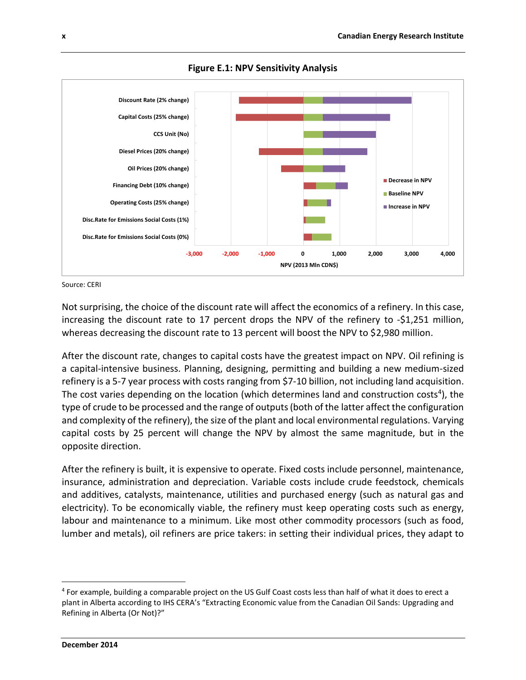

**Figure E.1: NPV Sensitivity Analysis** 

Source: CERI

Not surprising, the choice of the discount rate will affect the economics of a refinery. In this case, increasing the discount rate to 17 percent drops the NPV of the refinery to -\$1,251 million, whereas decreasing the discount rate to 13 percent will boost the NPV to \$2,980 million.

After the discount rate, changes to capital costs have the greatest impact on NPV. Oil refining is a capital-intensive business. Planning, designing, permitting and building a new medium-sized refinery is a 5-7 year process with costs ranging from \$7-10 billion, not including land acquisition. The cost varies depending on the location (which determines land and construction costs<sup>4</sup>), the type of crude to be processed and the range of outputs (both of the latter affect the configuration and complexity of the refinery), the size of the plant and local environmental regulations. Varying capital costs by 25 percent will change the NPV by almost the same magnitude, but in the opposite direction.

After the refinery is built, it is expensive to operate. Fixed costs include personnel, maintenance, insurance, administration and depreciation. Variable costs include crude feedstock, chemicals and additives, catalysts, maintenance, utilities and purchased energy (such as natural gas and electricity). To be economically viable, the refinery must keep operating costs such as energy, labour and maintenance to a minimum. Like most other commodity processors (such as food, lumber and metals), oil refiners are price takers: in setting their individual prices, they adapt to

 $\overline{a}$ 

<sup>&</sup>lt;sup>4</sup> For example, building a comparable project on the US Gulf Coast costs less than half of what it does to erect a plant in Alberta according to IHS CERA's "Extracting Economic value from the Canadian Oil Sands: Upgrading and Refining in Alberta (Or Not)?"